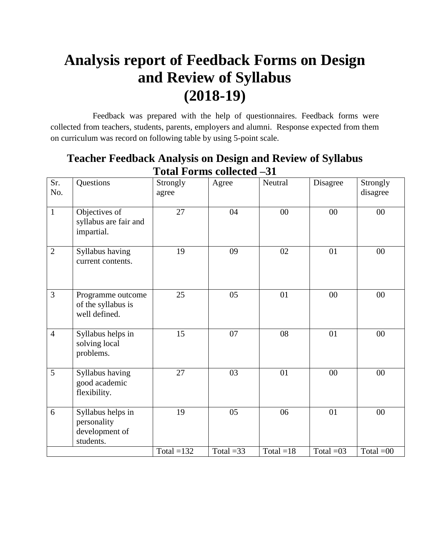# **Analysis report of Feedback Forms on Design and Review of Syllabus (2018-19)**

 Feedback was prepared with the help of questionnaires. Feedback forms were collected from teachers, students, parents, employers and alumni. Response expected from them on curriculum was record on following table by using 5-point scale.

| Sr.<br>No.     | Questions                                                       | Strongly<br>agree | Agree       | Neutral     | Disagree    | Strongly<br>disagree |
|----------------|-----------------------------------------------------------------|-------------------|-------------|-------------|-------------|----------------------|
| $\mathbf{1}$   | Objectives of<br>syllabus are fair and<br>impartial.            | 27                | 04          | $00\,$      | $00\,$      | $00\,$               |
| $\overline{2}$ | Syllabus having<br>current contents.                            | 19                | 09          | 02          | 01          | 00                   |
| 3              | Programme outcome<br>of the syllabus is<br>well defined.        | 25                | 05          | 01          | $00\,$      | $00\,$               |
| $\overline{4}$ | Syllabus helps in<br>solving local<br>problems.                 | 15                | 07          | 08          | 01          | $00\,$               |
| 5              | Syllabus having<br>good academic<br>flexibility.                | 27                | 03          | 01          | 00          | 00                   |
| 6              | Syllabus helps in<br>personality<br>development of<br>students. | 19                | 05          | 06          | 01          | 00                   |
|                |                                                                 | Total $=132$      | Total $=33$ | Total $=18$ | Total $=03$ | Total $=00$          |

#### **Teacher Feedback Analysis on Design and Review of Syllabus Total Forms collected –31**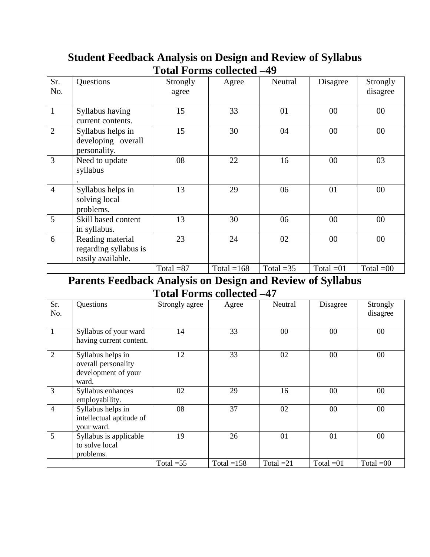|                |                                                                |             | otal I of hip concettu |             |             |             |
|----------------|----------------------------------------------------------------|-------------|------------------------|-------------|-------------|-------------|
| Sr.            | Questions                                                      | Strongly    | Agree                  | Neutral     | Disagree    | Strongly    |
| No.            |                                                                | agree       |                        |             |             | disagree    |
| $\mathbf{1}$   | Syllabus having<br>current contents.                           | 15          | 33                     | 01          | 00          | $00\,$      |
| $\overline{2}$ | Syllabus helps in<br>developing overall<br>personality.        | 15          | 30                     | 04          | $00\,$      | $00\,$      |
| 3              | Need to update<br>syllabus                                     | 08          | 22                     | 16          | 00          | 03          |
| $\overline{4}$ | Syllabus helps in<br>solving local<br>problems.                | 13          | 29                     | 06          | 01          | $00\,$      |
| 5              | Skill based content<br>in syllabus.                            | 13          | 30                     | 06          | 00          | $00\,$      |
| 6              | Reading material<br>regarding syllabus is<br>easily available. | 23          | 24                     | 02          | 00          | $00\,$      |
|                |                                                                | Total $=87$ | Total = $168$          | Total $=35$ | Total $=01$ | Total $=00$ |

### **Student Feedback Analysis on Design and Review of Syllabus Total Forms collected –49**

#### **Parents Feedback Analysis on Design and Review of Syllabus Total Forms collected –47**

| Sr.<br>No.     | Questions                                                                | Strongly agree | Agree         | <b>Neutral</b> | Disagree    | Strongly<br>disagree |
|----------------|--------------------------------------------------------------------------|----------------|---------------|----------------|-------------|----------------------|
| 1              | Syllabus of your ward<br>having current content.                         | 14             | 33            | $00\,$         | 00          | 00                   |
| $\overline{2}$ | Syllabus helps in<br>overall personality<br>development of your<br>ward. | 12             | 33            | 02             | $00\,$      | 00                   |
| 3              | Syllabus enhances<br>employability.                                      | 02             | 29            | 16             | $00\,$      | 00                   |
| 4              | Syllabus helps in<br>intellectual aptitude of<br>your ward.              | 08             | 37            | 02             | $00\,$      | 00                   |
| 5              | Syllabus is applicable<br>to solve local<br>problems.                    | 19             | 26            | 01             | 01          | 00                   |
|                |                                                                          | Total $=55$    | Total = $158$ | Total $=21$    | Total $=01$ | Total $=00$          |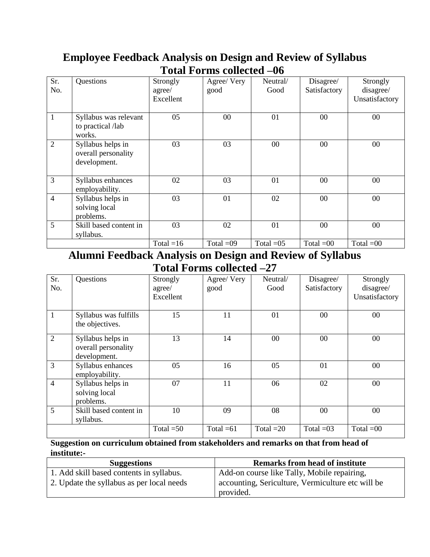| Sr. | Questions                                                | Strongly    | Agree/ Very | Neutral/    | Disagree/    | Strongly       |
|-----|----------------------------------------------------------|-------------|-------------|-------------|--------------|----------------|
| No. |                                                          | agree/      | good        | Good        | Satisfactory | disagree/      |
|     |                                                          | Excellent   |             |             |              | Unsatisfactory |
|     |                                                          |             |             |             |              |                |
| 1   | Syllabus was relevant<br>to practical /lab<br>works.     | 05          | $00\,$      | 01          | $00\,$       | 00             |
| 2   | Syllabus helps in<br>overall personality<br>development. | 03          | 03          | $00\,$      | $00\,$       | 00             |
| 3   | Syllabus enhances<br>employability.                      | 02          | 03          | 01          | $00\,$       | 00             |
| 4   | Syllabus helps in<br>solving local<br>problems.          | 03          | 01          | 02          | $00\,$       | $00\,$         |
| 5   | Skill based content in<br>syllabus.                      | 03          | 02          | 01          | $00\,$       | 00             |
|     |                                                          | Total $=16$ | Total $=09$ | Total $=05$ | Total $=00$  | Total $=00$    |

### **Employee Feedback Analysis on Design and Review of Syllabus Total Forms collected –06**

#### **Alumni Feedback Analysis on Design and Review of Syllabus Total Forms collected –27**

| Sr.<br>No.     | Questions                                                | Strongly<br>agree/<br>Excellent | Agree/ Very<br>good | Neutral/<br>Good | Disagree/<br>Satisfactory | Strongly<br>disagree/<br>Unsatisfactory |
|----------------|----------------------------------------------------------|---------------------------------|---------------------|------------------|---------------------------|-----------------------------------------|
| 1              | Syllabus was fulfills<br>the objectives.                 | 15                              | 11                  | 01               | $00\,$                    | 00                                      |
| $\overline{2}$ | Syllabus helps in<br>overall personality<br>development. | 13                              | 14                  | $00\,$           | 00                        | 00                                      |
| 3              | Syllabus enhances<br>employability.                      | 05                              | 16                  | 05               | 01                        | 00                                      |
| $\overline{4}$ | Syllabus helps in<br>solving local<br>problems.          | 07                              | 11                  | 06               | 02                        | 00                                      |
| 5              | Skill based content in<br>syllabus.                      | 10                              | 09                  | 08               | 00                        | 00                                      |
|                |                                                          | Total $=50$                     | Total $=61$         | Total $=20$      | Total $=03$               | Total $=00$                             |

#### **Suggestion on curriculum obtained from stakeholders and remarks on that from head of institute:-**

| <b>Suggestions</b>                        | <b>Remarks from head of institute</b>             |
|-------------------------------------------|---------------------------------------------------|
| 1. Add skill based contents in syllabus.  | Add-on course like Tally, Mobile repairing,       |
| 2. Update the syllabus as per local needs | accounting, Sericulture, Vermiculture etc will be |
|                                           | provided.                                         |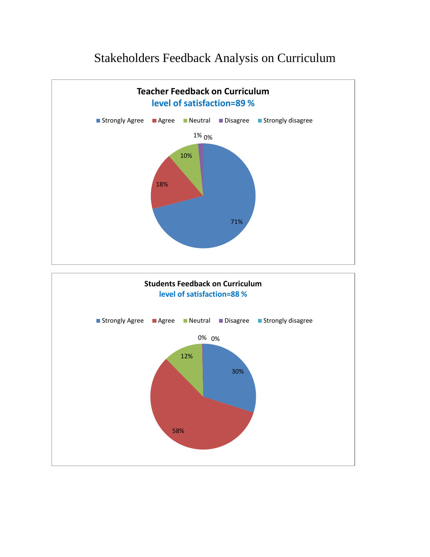### Stakeholders Feedback Analysis on Curriculum

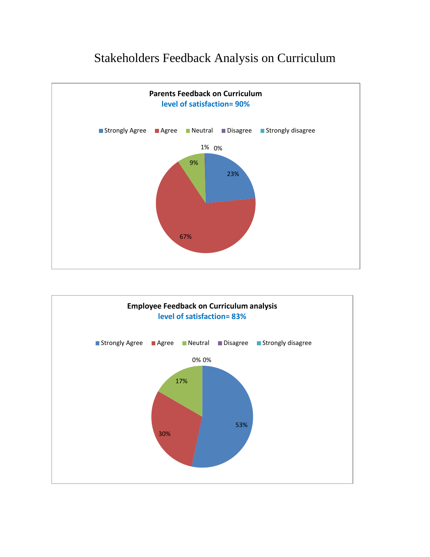### Stakeholders Feedback Analysis on Curriculum